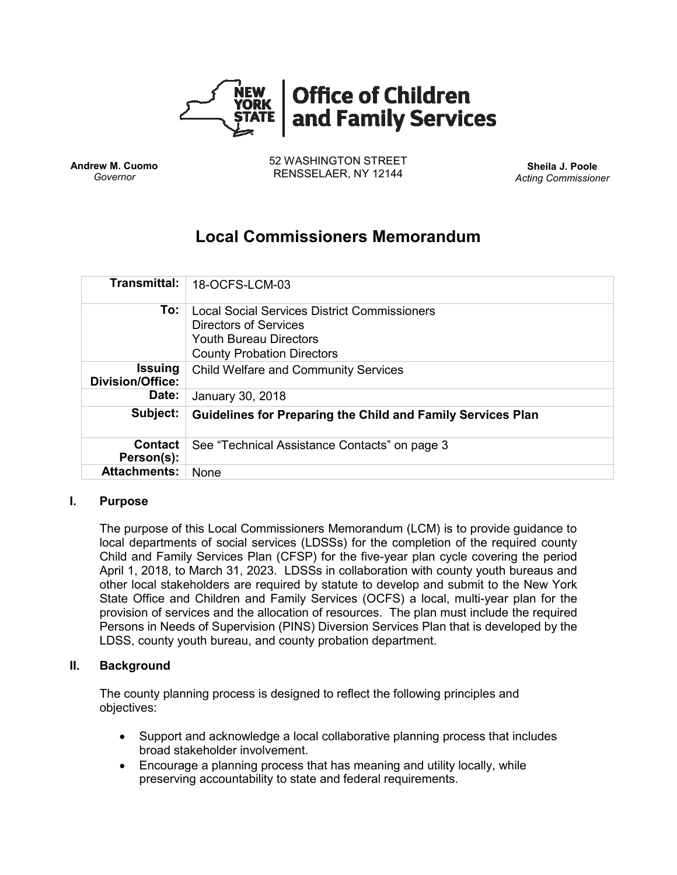

**Andrew M. Cuomo** *Governor*

52 WASHINGTON STREET RENSSELAER, NY 12144 **Sheila J. Poole**

*Acting Commissioner*

# **Local Commissioners Memorandum**

| <b>Transmittal:</b>                       | 18-OCFS-LCM-03                                                                                                                                     |
|-------------------------------------------|----------------------------------------------------------------------------------------------------------------------------------------------------|
| To:                                       | Local Social Services District Commissioners<br><b>Directors of Services</b><br><b>Youth Bureau Directors</b><br><b>County Probation Directors</b> |
| <b>Issuing</b><br><b>Division/Office:</b> | <b>Child Welfare and Community Services</b>                                                                                                        |
| Date:                                     | January 30, 2018                                                                                                                                   |
| Subject:                                  | <b>Guidelines for Preparing the Child and Family Services Plan</b>                                                                                 |
| <b>Contact</b><br>Person(s):              | See "Technical Assistance Contacts" on page 3                                                                                                      |
| <b>Attachments:</b>                       | <b>None</b>                                                                                                                                        |

## **I. Purpose**

The purpose of this Local Commissioners Memorandum (LCM) is to provide guidance to local departments of social services (LDSSs) for the completion of the required county Child and Family Services Plan (CFSP) for the five-year plan cycle covering the period April 1, 2018, to March 31, 2023. LDSSs in collaboration with county youth bureaus and other local stakeholders are required by statute to develop and submit to the New York State Office and Children and Family Services (OCFS) a local, multi-year plan for the provision of services and the allocation of resources. The plan must include the required Persons in Needs of Supervision (PINS) Diversion Services Plan that is developed by the LDSS, county youth bureau, and county probation department.

#### **II. Background**

The county planning process is designed to reflect the following principles and objectives:

- Support and acknowledge a local collaborative planning process that includes broad stakeholder involvement.
- Encourage a planning process that has meaning and utility locally, while preserving accountability to state and federal requirements.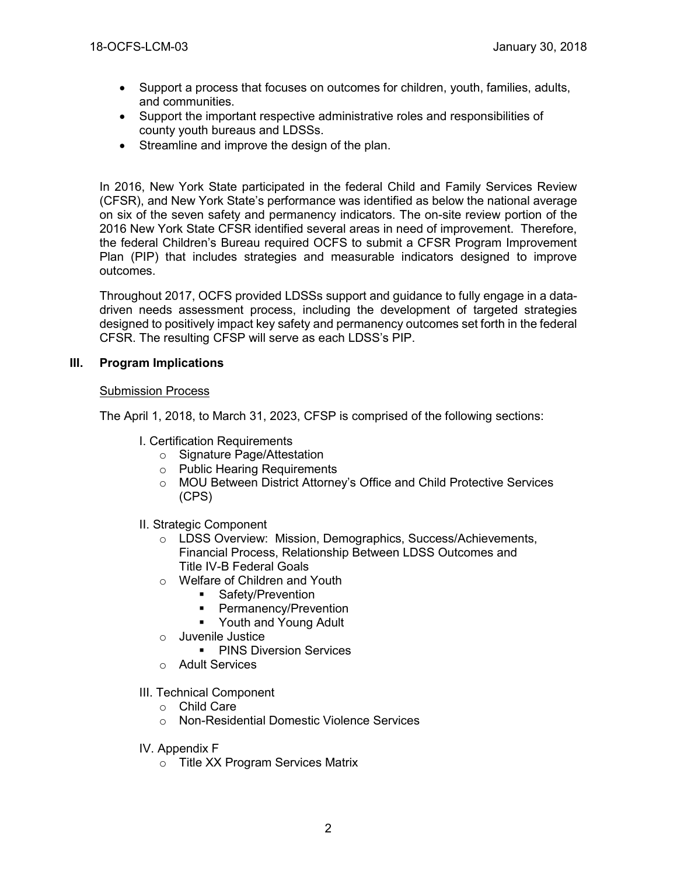- Support a process that focuses on outcomes for children, youth, families, adults, and communities.
- Support the important respective administrative roles and responsibilities of county youth bureaus and LDSSs.
- Streamline and improve the design of the plan.

In 2016, New York State participated in the federal Child and Family Services Review (CFSR), and New York State's performance was identified as below the national average on six of the seven safety and permanency indicators. The on-site review portion of the 2016 New York State CFSR identified several areas in need of improvement. Therefore, the federal Children's Bureau required OCFS to submit a CFSR Program Improvement Plan (PIP) that includes strategies and measurable indicators designed to improve outcomes.

Throughout 2017, OCFS provided LDSSs support and guidance to fully engage in a datadriven needs assessment process, including the development of targeted strategies designed to positively impact key safety and permanency outcomes set forth in the federal CFSR. The resulting CFSP will serve as each LDSS's PIP.

## **III. Program Implications**

#### Submission Process

The April 1, 2018, to March 31, 2023, CFSP is comprised of the following sections:

- I. Certification Requirements
	- o Signature Page/Attestation
	- o Public Hearing Requirements
	- o MOU Between District Attorney's Office and Child Protective Services (CPS)
- II. Strategic Component
	- o LDSS Overview: Mission, Demographics, Success/Achievements, Financial Process, Relationship Between LDSS Outcomes and Title IV-B Federal Goals
	- o Welfare of Children and Youth
		- Safety/Prevention
		- Permanency/Prevention
		- Youth and Young Adult
	- o Juvenile Justice
		- **PINS Diversion Services**
	- o Adult Services
- III. Technical Component
	- o Child Care
	- o Non-Residential Domestic Violence Services
- IV. Appendix F
	- o Title XX Program Services Matrix